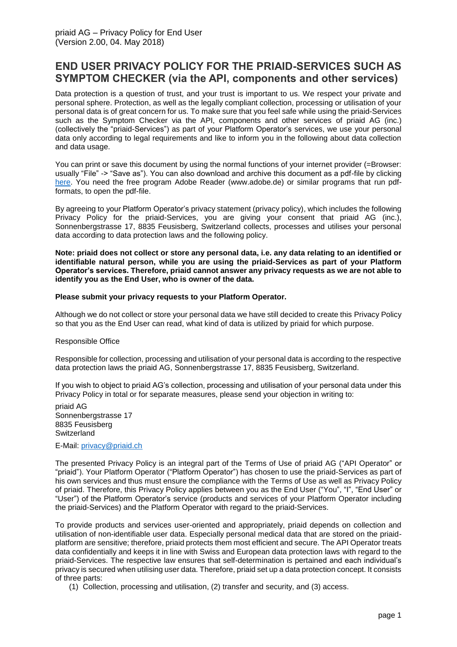# **END USER PRIVACY POLICY FOR THE PRIAID-SERVICES SUCH AS SYMPTOM CHECKER (via the API, components and other services)**

Data protection is a question of trust, and your trust is important to us. We respect your private and personal sphere. Protection, as well as the legally compliant collection, processing or utilisation of your personal data is of great concern for us. To make sure that you feel safe while using the priaid-Services such as the Symptom Checker via the API, components and other services of priaid AG (inc.) (collectively the "priaid-Services") as part of your Platform Operator's services, we use your personal data only according to legal requirements and like to inform you in the following about data collection and data usage.

You can print or save this document by using the normal functions of your internet provider (=Browser: usually "File" -> "Save as"). You can also download and archive this document as a pdf-file by clicking [here.](http://apimedic.net/resources/enduser_priaid_privacy.pdf) You need the free program Adobe Reader (www.adobe.de) or similar programs that run pdfformats, to open the pdf-file.

By agreeing to your Platform Operator's privacy statement (privacy policy), which includes the following Privacy Policy for the priaid-Services, you are giving your consent that priaid AG (inc.), Sonnenbergstrasse 17, 8835 Feusisberg, Switzerland collects, processes and utilises your personal data according to data protection laws and the following policy.

**Note: priaid does not collect or store any personal data, i.e. any data relating to an identified or identifiable natural person, while you are using the priaid-Services as part of your Platform Operator's services. Therefore, priaid cannot answer any privacy requests as we are not able to identify you as the End User, who is owner of the data.**

#### **Please submit your privacy requests to your Platform Operator.**

Although we do not collect or store your personal data we have still decided to create this Privacy Policy so that you as the End User can read, what kind of data is utilized by priaid for which purpose.

#### Responsible Office

Responsible for collection, processing and utilisation of your personal data is according to the respective data protection laws the priaid AG, Sonnenbergstrasse 17, 8835 Feusisberg, Switzerland.

If you wish to object to priaid AG's collection, processing and utilisation of your personal data under this Privacy Policy in total or for separate measures, please send your objection in writing to:

priaid AG Sonnenbergstrasse 17 8835 Feusisberg **Switzerland** 

#### E-Mail: [privacy@priaid.ch](mailto:privacy@priaid.ch?subject=Platform%20Operator%20End%20User%20priaid%20privacy%20policy)

The presented Privacy Policy is an integral part of the Terms of Use of priaid AG ("API Operator" or "priaid"). Your Platform Operator ("Platform Operator") has chosen to use the priaid-Services as part of his own services and thus must ensure the compliance with the Terms of Use as well as Privacy Policy of priaid. Therefore, this Privacy Policy applies between you as the End User ("You", "I", "End User" or "User") of the Platform Operator's service (products and services of your Platform Operator including the priaid-Services) and the Platform Operator with regard to the priaid-Services.

To provide products and services user-oriented and appropriately, priaid depends on collection and utilisation of non-identifiable user data. Especially personal medical data that are stored on the priaidplatform are sensitive; therefore, priaid protects them most efficient and secure. The API Operator treats data confidentially and keeps it in line with Swiss and European data protection laws with regard to the priaid-Services. The respective law ensures that self-determination is pertained and each individual's privacy is secured when utilising user data. Therefore, priaid set up a data protection concept. It consists of three parts:

(1) Collection, processing and utilisation, (2) transfer and security, and (3) access.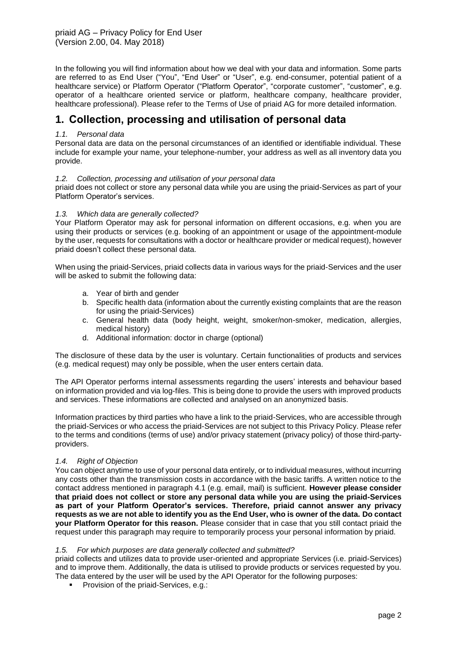priaid AG – Privacy Policy for End User (Version 2.00, 04. May 2018)

In the following you will find information about how we deal with your data and information. Some parts are referred to as End User ("You", "End User" or "User", e.g. end-consumer, potential patient of a healthcare service) or Platform Operator ("Platform Operator", "corporate customer", "customer", e.g. operator of a healthcare oriented service or platform, healthcare company, healthcare provider, healthcare professional). Please refer to the Terms of Use of priaid AG for more detailed information.

# **1. Collection, processing and utilisation of personal data**

## *1.1. Personal data*

Personal data are data on the personal circumstances of an identified or identifiable individual. These include for example your name, your telephone-number, your address as well as all inventory data you provide.

### *1.2. Collection, processing and utilisation of your personal data*

priaid does not collect or store any personal data while you are using the priaid-Services as part of your Platform Operator's services.

#### *1.3. Which data are generally collected?*

Your Platform Operator may ask for personal information on different occasions, e.g. when you are using their products or services (e.g. booking of an appointment or usage of the appointment-module by the user, requests for consultations with a doctor or healthcare provider or medical request), however priaid doesn't collect these personal data.

When using the priaid-Services, priaid collects data in various ways for the priaid-Services and the user will be asked to submit the following data:

- a. Year of birth and gender
- b. Specific health data (information about the currently existing complaints that are the reason for using the priaid-Services)
- c. General health data (body height, weight, smoker/non-smoker, medication, allergies, medical history)
- d. Additional information: doctor in charge (optional)

The disclosure of these data by the user is voluntary. Certain functionalities of products and services (e.g. medical request) may only be possible, when the user enters certain data.

The API Operator performs internal assessments regarding the users' interests and behaviour based on information provided and via log-files. This is being done to provide the users with improved products and services. These informations are collected and analysed on an anonymized basis.

Information practices by third parties who have a link to the priaid-Services, who are accessible through the priaid-Services or who access the priaid-Services are not subject to this Privacy Policy. Please refer to the terms and conditions (terms of use) and/or privacy statement (privacy policy) of those third-partyproviders.

#### *1.4. Right of Objection*

You can object anytime to use of your personal data entirely, or to individual measures, without incurring any costs other than the transmission costs in accordance with the basic tariffs. A written notice to the contact address mentioned in paragraph 4.1 (e.g. email, mail) is sufficient. **However please consider that priaid does not collect or store any personal data while you are using the priaid-Services as part of your Platform Operator's services. Therefore, priaid cannot answer any privacy requests as we are not able to identify you as the End User, who is owner of the data. Do contact your Platform Operator for this reason.** Please consider that in case that you still contact priaid the request under this paragraph may require to temporarily process your personal information by priaid.

#### *1.5. For which purposes are data generally collected and submitted?*

priaid collects and utilizes data to provide user-oriented and appropriate Services (i.e. priaid-Services) and to improve them. Additionally, the data is utilised to provide products or services requested by you. The data entered by the user will be used by the API Operator for the following purposes:

**• Provision of the priaid-Services, e.g.:**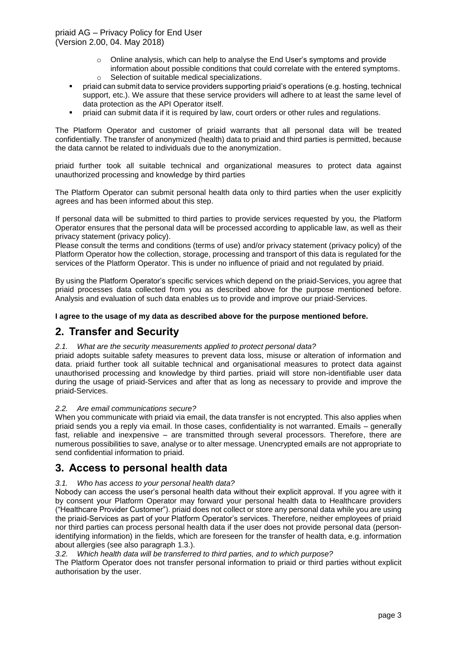priaid AG – Privacy Policy for End User (Version 2.00, 04. May 2018)

- o Online analysis, which can help to analyse the End User's symptoms and provide
- information about possible conditions that could correlate with the entered symptoms. o Selection of suitable medical specializations.
- priaid can submit data to service providers supporting priaid's operations (e.g. hosting, technical support, etc.). We assure that these service providers will adhere to at least the same level of data protection as the API Operator itself.
- priaid can submit data if it is required by law, court orders or other rules and regulations.

The Platform Operator and customer of priaid warrants that all personal data will be treated confidentially. The transfer of anonymized (health) data to priaid and third parties is permitted, because the data cannot be related to individuals due to the anonymization.

priaid further took all suitable technical and organizational measures to protect data against unauthorized processing and knowledge by third parties

The Platform Operator can submit personal health data only to third parties when the user explicitly agrees and has been informed about this step.

If personal data will be submitted to third parties to provide services requested by you, the Platform Operator ensures that the personal data will be processed according to applicable law, as well as their privacy statement (privacy policy).

Please consult the terms and conditions (terms of use) and/or privacy statement (privacy policy) of the Platform Operator how the collection, storage, processing and transport of this data is regulated for the services of the Platform Operator. This is under no influence of priaid and not regulated by priaid.

By using the Platform Operator's specific services which depend on the priaid-Services, you agree that priaid processes data collected from you as described above for the purpose mentioned before. Analysis and evaluation of such data enables us to provide and improve our priaid-Services.

**I agree to the usage of my data as described above for the purpose mentioned before.**

## **2. Transfer and Security**

#### *2.1. What are the security measurements applied to protect personal data?*

priaid adopts suitable safety measures to prevent data loss, misuse or alteration of information and data. priaid further took all suitable technical and organisational measures to protect data against unauthorised processing and knowledge by third parties. priaid will store non-identifiable user data during the usage of priaid-Services and after that as long as necessary to provide and improve the priaid-Services.

## *2.2. Are email communications secure?*

When you communicate with priaid via email, the data transfer is not encrypted. This also applies when priaid sends you a reply via email. In those cases, confidentiality is not warranted. Emails – generally fast, reliable and inexpensive – are transmitted through several processors. Therefore, there are numerous possibilities to save, analyse or to alter message. Unencrypted emails are not appropriate to send confidential information to priaid.

## **3. Access to personal health data**

## *3.1. Who has access to your personal health data?*

Nobody can access the user's personal health data without their explicit approval. If you agree with it by consent your Platform Operator may forward your personal health data to Healthcare providers ("Healthcare Provider Customer"). priaid does not collect or store any personal data while you are using the priaid-Services as part of your Platform Operator's services. Therefore, neither employees of priaid nor third parties can process personal health data if the user does not provide personal data (personidentifying information) in the fields, which are foreseen for the transfer of health data, e.g. information about allergies (see also paragraph 1.3.).

*3.2. Which health data will be transferred to third parties, and to which purpose?* 

The Platform Operator does not transfer personal information to priaid or third parties without explicit authorisation by the user.